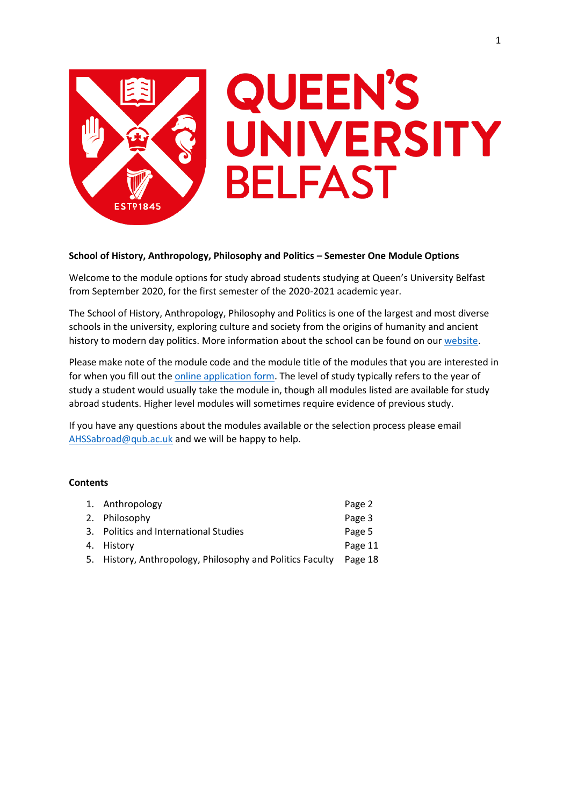

# **School of History, Anthropology, Philosophy and Politics – Semester One Module Options**

Welcome to the module options for study abroad students studying at Queen's University Belfast from September 2020, for the first semester of the 2020-2021 academic year.

The School of History, Anthropology, Philosophy and Politics is one of the largest and most diverse schools in the university, exploring culture and society from the origins of humanity and ancient history to modern day politics. More information about the school can be found on our [website.](https://www.qub.ac.uk/schools/happ/)

Please make note of the module code and the module title of the modules that you are interested in for when you fill out th[e online application form.](https://forms.office.com/Pages/ResponsePage.aspx?id=6ner6qW040mh6NbdI6HyhuNo6y7MZmlFqRFBsQuklldUMk9NNlVPQUxQSFpJQ0I4VzFVNVhFMzNQRyQlQCN0PWcu) The level of study typically refers to the year of study a student would usually take the module in, though all modules listed are available for study abroad students. Higher level modules will sometimes require evidence of previous study.

If you have any questions about the modules available or the selection process please email [AHSSabroad@qub.ac.uk](mailto:AHSSabroad@qub.ac.uk) and we will be happy to help.

# **Contents**

| 1. Anthropology                                           | Page 2  |
|-----------------------------------------------------------|---------|
| 2. Philosophy                                             | Page 3  |
| 3. Politics and International Studies                     | Page 5  |
| 4. History                                                | Page 11 |
| 5. History, Anthropology, Philosophy and Politics Faculty | Page 18 |
|                                                           |         |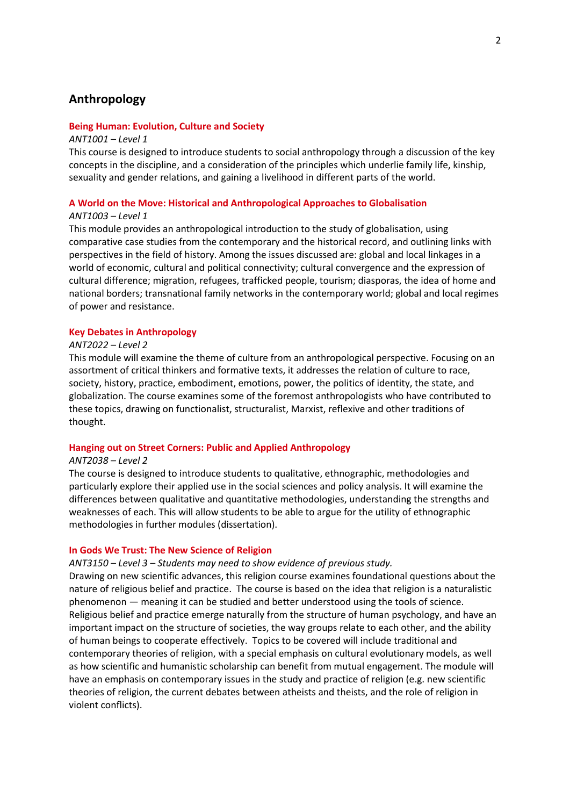# **Anthropology**

## **Being Human: Evolution, Culture and Society**

#### *ANT1001 – Level 1*

This course is designed to introduce students to social anthropology through a discussion of the key concepts in the discipline, and a consideration of the principles which underlie family life, kinship, sexuality and gender relations, and gaining a livelihood in different parts of the world.

# **A World on the Move: Historical and Anthropological Approaches to Globalisation**

# *ANT1003 – Level 1*

This module provides an anthropological introduction to the study of globalisation, using comparative case studies from the contemporary and the historical record, and outlining links with perspectives in the field of history. Among the issues discussed are: global and local linkages in a world of economic, cultural and political connectivity; cultural convergence and the expression of cultural difference; migration, refugees, trafficked people, tourism; diasporas, the idea of home and national borders; transnational family networks in the contemporary world; global and local regimes of power and resistance.

#### **Key Debates in Anthropology**

## *ANT2022 – Level 2*

This module will examine the theme of culture from an anthropological perspective. Focusing on an assortment of critical thinkers and formative texts, it addresses the relation of culture to race, society, history, practice, embodiment, emotions, power, the politics of identity, the state, and globalization. The course examines some of the foremost anthropologists who have contributed to these topics, drawing on functionalist, structuralist, Marxist, reflexive and other traditions of thought.

# **Hanging out on Street Corners: Public and Applied Anthropology**

## *ANT2038 – Level 2*

The course is designed to introduce students to qualitative, ethnographic, methodologies and particularly explore their applied use in the social sciences and policy analysis. It will examine the differences between qualitative and quantitative methodologies, understanding the strengths and weaknesses of each. This will allow students to be able to argue for the utility of ethnographic methodologies in further modules (dissertation).

## **In Gods We Trust: The New Science of Religion**

#### *ANT3150 – Level 3 – Students may need to show evidence of previous study.*

Drawing on new scientific advances, this religion course examines foundational questions about the nature of religious belief and practice. The course is based on the idea that religion is a naturalistic phenomenon — meaning it can be studied and better understood using the tools of science. Religious belief and practice emerge naturally from the structure of human psychology, and have an important impact on the structure of societies, the way groups relate to each other, and the ability of human beings to cooperate effectively. Topics to be covered will include traditional and contemporary theories of religion, with a special emphasis on cultural evolutionary models, as well as how scientific and humanistic scholarship can benefit from mutual engagement. The module will have an emphasis on contemporary issues in the study and practice of religion (e.g. new scientific theories of religion, the current debates between atheists and theists, and the role of religion in violent conflicts).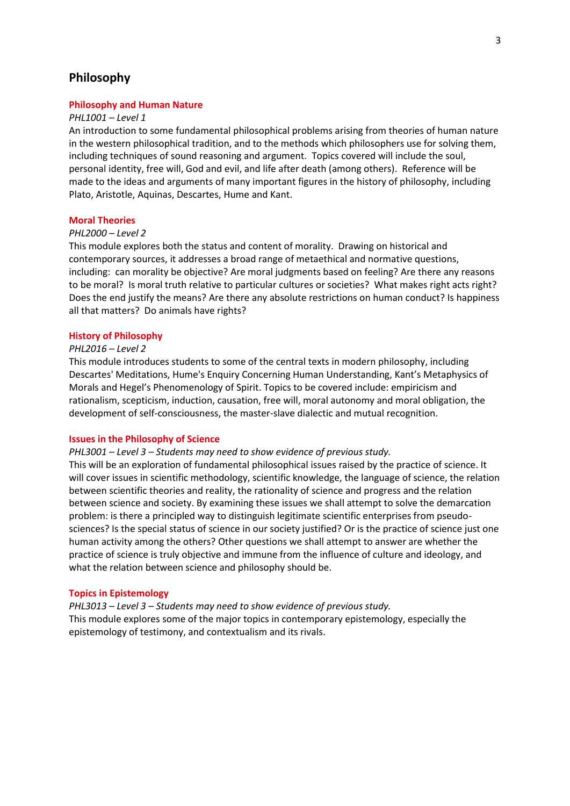# **Philosophy**

## **Philosophy and Human Nature**

#### *PHL1001 – Level 1*

An introduction to some fundamental philosophical problems arising from theories of human nature in the western philosophical tradition, and to the methods which philosophers use for solving them, including techniques of sound reasoning and argument. Topics covered will include the soul, personal identity, free will, God and evil, and life after death (among others). Reference will be made to the ideas and arguments of many important figures in the history of philosophy, including Plato, Aristotle, Aquinas, Descartes, Hume and Kant.

#### **Moral Theories**

#### *PHL2000 – Level 2*

This module explores both the status and content of morality. Drawing on historical and contemporary sources, it addresses a broad range of metaethical and normative questions, including: can morality be objective? Are moral judgments based on feeling? Are there any reasons to be moral? Is moral truth relative to particular cultures or societies? What makes right acts right? Does the end justify the means? Are there any absolute restrictions on human conduct? Is happiness all that matters? Do animals have rights?

#### **History of Philosophy**

#### *PHL2016 – Level 2*

This module introduces students to some of the central texts in modern philosophy, including Descartes' Meditations, Hume's Enquiry Concerning Human Understanding, Kant's Metaphysics of Morals and Hegel's Phenomenology of Spirit. Topics to be covered include: empiricism and rationalism, scepticism, induction, causation, free will, moral autonomy and moral obligation, the development of self-consciousness, the master-slave dialectic and mutual recognition.

## **Issues in the Philosophy of Science**

*PHL3001 – Level 3 – Students may need to show evidence of previous study.*

This will be an exploration of fundamental philosophical issues raised by the practice of science. It will cover issues in scientific methodology, scientific knowledge, the language of science, the relation between scientific theories and reality, the rationality of science and progress and the relation between science and society. By examining these issues we shall attempt to solve the demarcation problem: is there a principled way to distinguish legitimate scientific enterprises from pseudosciences? Is the special status of science in our society justified? Or is the practice of science just one human activity among the others? Other questions we shall attempt to answer are whether the practice of science is truly objective and immune from the influence of culture and ideology, and what the relation between science and philosophy should be.

#### **Topics in Epistemology**

*PHL3013 – Level 3 – Students may need to show evidence of previous study.* This module explores some of the major topics in contemporary epistemology, especially the epistemology of testimony, and contextualism and its rivals.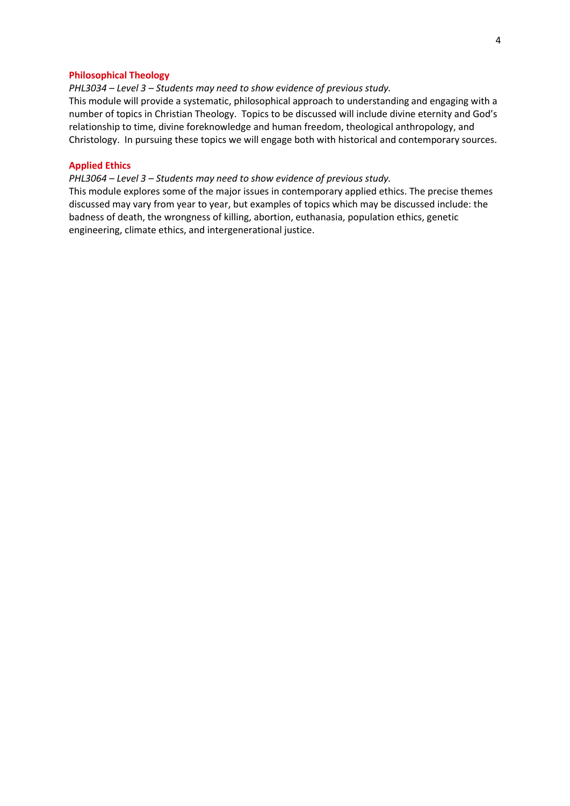## **Philosophical Theology**

*PHL3034 – Level 3 – Students may need to show evidence of previous study.*

This module will provide a systematic, philosophical approach to understanding and engaging with a number of topics in Christian Theology. Topics to be discussed will include divine eternity and God's relationship to time, divine foreknowledge and human freedom, theological anthropology, and Christology. In pursuing these topics we will engage both with historical and contemporary sources.

# **Applied Ethics**

*PHL3064 – Level 3 – Students may need to show evidence of previous study.*

This module explores some of the major issues in contemporary applied ethics. The precise themes discussed may vary from year to year, but examples of topics which may be discussed include: the badness of death, the wrongness of killing, abortion, euthanasia, population ethics, genetic engineering, climate ethics, and intergenerational justice.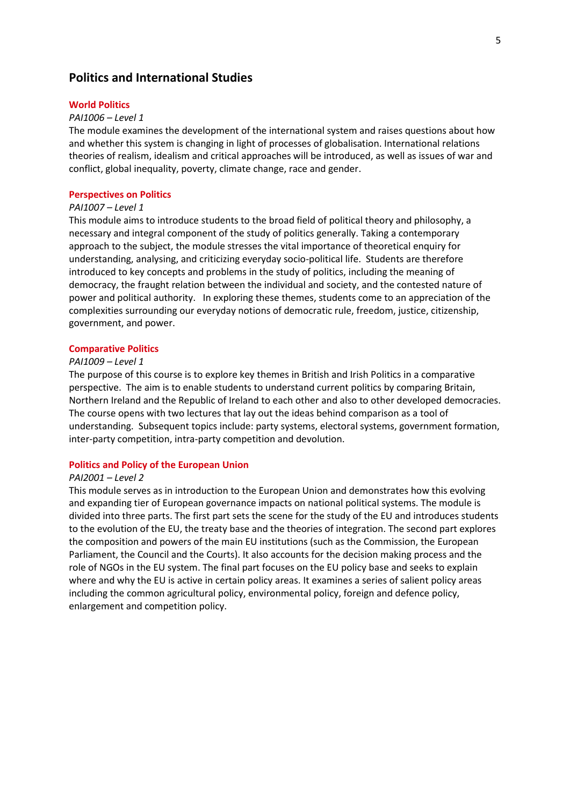# **Politics and International Studies**

#### **World Politics**

#### *PAI1006 – Level 1*

The module examines the development of the international system and raises questions about how and whether this system is changing in light of processes of globalisation. International relations theories of realism, idealism and critical approaches will be introduced, as well as issues of war and conflict, global inequality, poverty, climate change, race and gender.

# **Perspectives on Politics**

# *PAI1007 – Level 1*

This module aims to introduce students to the broad field of political theory and philosophy, a necessary and integral component of the study of politics generally. Taking a contemporary approach to the subject, the module stresses the vital importance of theoretical enquiry for understanding, analysing, and criticizing everyday socio-political life. Students are therefore introduced to key concepts and problems in the study of politics, including the meaning of democracy, the fraught relation between the individual and society, and the contested nature of power and political authority. In exploring these themes, students come to an appreciation of the complexities surrounding our everyday notions of democratic rule, freedom, justice, citizenship, government, and power.

#### **Comparative Politics**

#### *PAI1009 – Level 1*

The purpose of this course is to explore key themes in British and Irish Politics in a comparative perspective. The aim is to enable students to understand current politics by comparing Britain, Northern Ireland and the Republic of Ireland to each other and also to other developed democracies. The course opens with two lectures that lay out the ideas behind comparison as a tool of understanding. Subsequent topics include: party systems, electoral systems, government formation, inter-party competition, intra-party competition and devolution.

## **Politics and Policy of the European Union**

## *PAI2001 – Level 2*

This module serves as in introduction to the European Union and demonstrates how this evolving and expanding tier of European governance impacts on national political systems. The module is divided into three parts. The first part sets the scene for the study of the EU and introduces students to the evolution of the EU, the treaty base and the theories of integration. The second part explores the composition and powers of the main EU institutions (such as the Commission, the European Parliament, the Council and the Courts). It also accounts for the decision making process and the role of NGOs in the EU system. The final part focuses on the EU policy base and seeks to explain where and why the EU is active in certain policy areas. It examines a series of salient policy areas including the common agricultural policy, environmental policy, foreign and defence policy, enlargement and competition policy.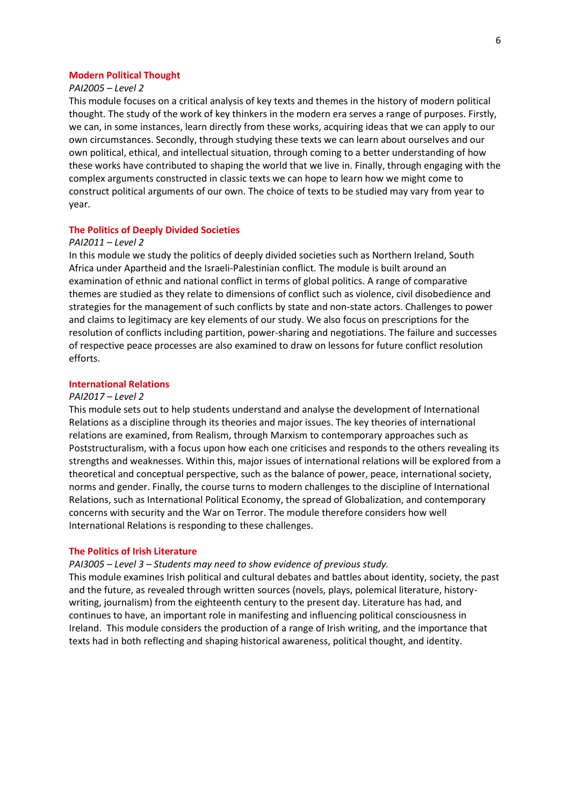# **Modern Political Thought**

# *PAI2005 – Level 2*

This module focuses on a critical analysis of key texts and themes in the history of modern political thought. The study of the work of key thinkers in the modern era serves a range of purposes. Firstly, we can, in some instances, learn directly from these works, acquiring ideas that we can apply to our own circumstances. Secondly, through studying these texts we can learn about ourselves and our own political, ethical, and intellectual situation, through coming to a better understanding of how these works have contributed to shaping the world that we live in. Finally, through engaging with the complex arguments constructed in classic texts we can hope to learn how we might come to construct political arguments of our own. The choice of texts to be studied may vary from year to year.

### **The Politics of Deeply Divided Societies**

#### *PAI2011 – Level 2*

In this module we study the politics of deeply divided societies such as Northern Ireland, South Africa under Apartheid and the Israeli-Palestinian conflict. The module is built around an examination of ethnic and national conflict in terms of global politics. A range of comparative themes are studied as they relate to dimensions of conflict such as violence, civil disobedience and strategies for the management of such conflicts by state and non-state actors. Challenges to power and claims to legitimacy are key elements of our study. We also focus on prescriptions for the resolution of conflicts including partition, power-sharing and negotiations. The failure and successes of respective peace processes are also examined to draw on lessons for future conflict resolution efforts.

## **International Relations**

## *PAI2017 – Level 2*

This module sets out to help students understand and analyse the development of International Relations as a discipline through its theories and major issues. The key theories of international relations are examined, from Realism, through Marxism to contemporary approaches such as Poststructuralism, with a focus upon how each one criticises and responds to the others revealing its strengths and weaknesses. Within this, major issues of international relations will be explored from a theoretical and conceptual perspective, such as the balance of power, peace, international society, norms and gender. Finally, the course turns to modern challenges to the discipline of International Relations, such as International Political Economy, the spread of Globalization, and contemporary concerns with security and the War on Terror. The module therefore considers how well International Relations is responding to these challenges.

## **The Politics of Irish Literature**

#### *PAI3005 – Level 3 – Students may need to show evidence of previous study.*

This module examines Irish political and cultural debates and battles about identity, society, the past and the future, as revealed through written sources (novels, plays, polemical literature, historywriting, journalism) from the eighteenth century to the present day. Literature has had, and continues to have, an important role in manifesting and influencing political consciousness in Ireland. This module considers the production of a range of Irish writing, and the importance that texts had in both reflecting and shaping historical awareness, political thought, and identity.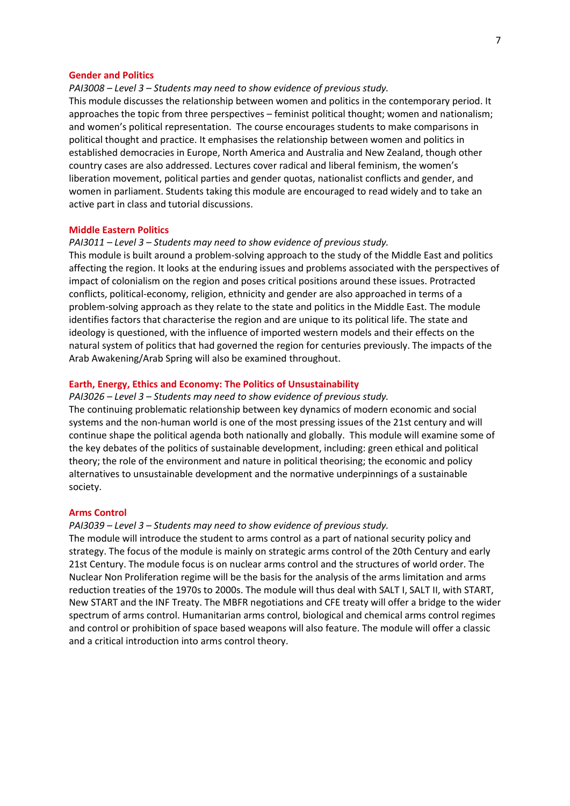### **Gender and Politics**

*PAI3008 – Level 3 – Students may need to show evidence of previous study.*

This module discusses the relationship between women and politics in the contemporary period. It approaches the topic from three perspectives – feminist political thought; women and nationalism; and women's political representation. The course encourages students to make comparisons in political thought and practice. It emphasises the relationship between women and politics in established democracies in Europe, North America and Australia and New Zealand, though other country cases are also addressed. Lectures cover radical and liberal feminism, the women's liberation movement, political parties and gender quotas, nationalist conflicts and gender, and women in parliament. Students taking this module are encouraged to read widely and to take an active part in class and tutorial discussions.

### **Middle Eastern Politics**

## *PAI3011 – Level 3 – Students may need to show evidence of previous study.*

This module is built around a problem-solving approach to the study of the Middle East and politics affecting the region. It looks at the enduring issues and problems associated with the perspectives of impact of colonialism on the region and poses critical positions around these issues. Protracted conflicts, political-economy, religion, ethnicity and gender are also approached in terms of a problem-solving approach as they relate to the state and politics in the Middle East. The module identifies factors that characterise the region and are unique to its political life. The state and ideology is questioned, with the influence of imported western models and their effects on the natural system of politics that had governed the region for centuries previously. The impacts of the Arab Awakening/Arab Spring will also be examined throughout.

## **Earth, Energy, Ethics and Economy: The Politics of Unsustainability**

#### *PAI3026 – Level 3 – Students may need to show evidence of previous study.*

The continuing problematic relationship between key dynamics of modern economic and social systems and the non-human world is one of the most pressing issues of the 21st century and will continue shape the political agenda both nationally and globally. This module will examine some of the key debates of the politics of sustainable development, including: green ethical and political theory; the role of the environment and nature in political theorising; the economic and policy alternatives to unsustainable development and the normative underpinnings of a sustainable society.

#### **Arms Control**

#### *PAI3039 – Level 3 – Students may need to show evidence of previous study.*

The module will introduce the student to arms control as a part of national security policy and strategy. The focus of the module is mainly on strategic arms control of the 20th Century and early 21st Century. The module focus is on nuclear arms control and the structures of world order. The Nuclear Non Proliferation regime will be the basis for the analysis of the arms limitation and arms reduction treaties of the 1970s to 2000s. The module will thus deal with SALT I, SALT II, with START, New START and the INF Treaty. The MBFR negotiations and CFE treaty will offer a bridge to the wider spectrum of arms control. Humanitarian arms control, biological and chemical arms control regimes and control or prohibition of space based weapons will also feature. The module will offer a classic and a critical introduction into arms control theory.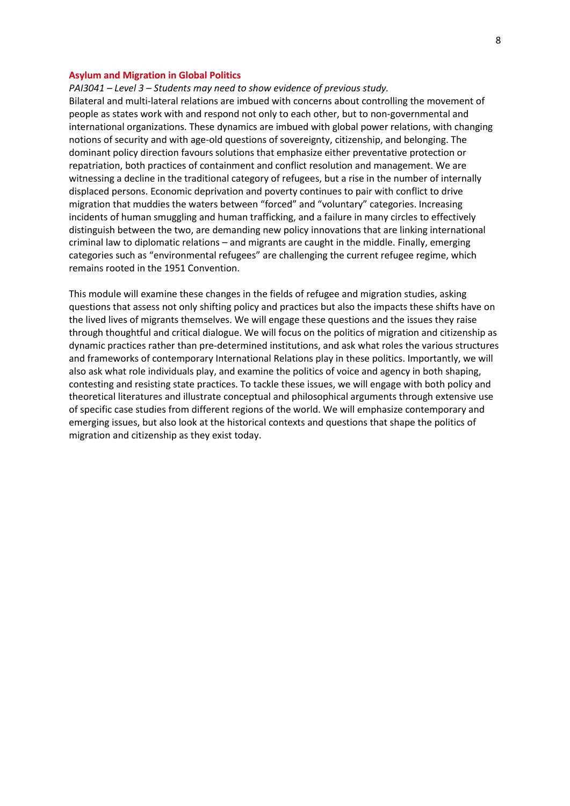# **Asylum and Migration in Global Politics**

*PAI3041 – Level 3 – Students may need to show evidence of previous study.*

Bilateral and multi‐lateral relations are imbued with concerns about controlling the movement of people as states work with and respond not only to each other, but to non‐governmental and international organizations. These dynamics are imbued with global power relations, with changing notions of security and with age‐old questions of sovereignty, citizenship, and belonging. The dominant policy direction favours solutions that emphasize either preventative protection or repatriation, both practices of containment and conflict resolution and management. We are witnessing a decline in the traditional category of refugees, but a rise in the number of internally displaced persons. Economic deprivation and poverty continues to pair with conflict to drive migration that muddies the waters between "forced" and "voluntary" categories. Increasing incidents of human smuggling and human trafficking, and a failure in many circles to effectively distinguish between the two, are demanding new policy innovations that are linking international criminal law to diplomatic relations – and migrants are caught in the middle. Finally, emerging categories such as "environmental refugees" are challenging the current refugee regime, which remains rooted in the 1951 Convention.

This module will examine these changes in the fields of refugee and migration studies, asking questions that assess not only shifting policy and practices but also the impacts these shifts have on the lived lives of migrants themselves. We will engage these questions and the issues they raise through thoughtful and critical dialogue. We will focus on the politics of migration and citizenship as dynamic practices rather than pre‐determined institutions, and ask what roles the various structures and frameworks of contemporary International Relations play in these politics. Importantly, we will also ask what role individuals play, and examine the politics of voice and agency in both shaping, contesting and resisting state practices. To tackle these issues, we will engage with both policy and theoretical literatures and illustrate conceptual and philosophical arguments through extensive use of specific case studies from different regions of the world. We will emphasize contemporary and emerging issues, but also look at the historical contexts and questions that shape the politics of migration and citizenship as they exist today.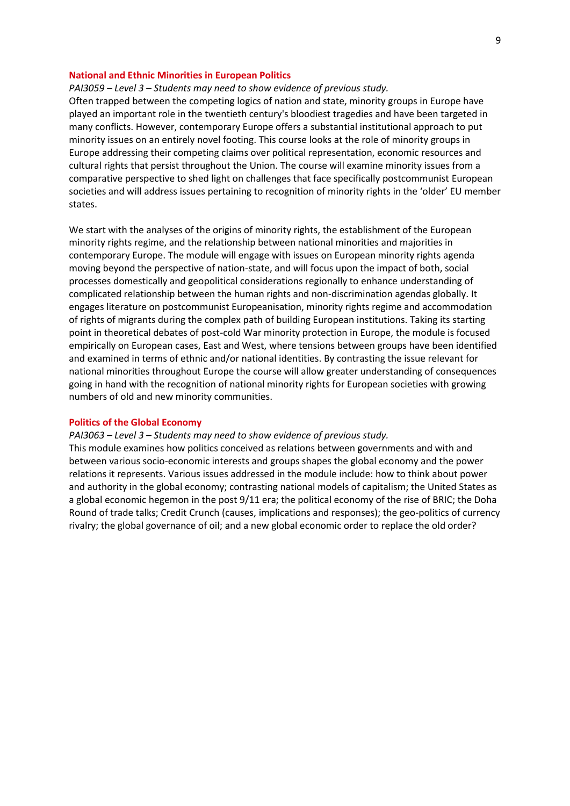## **National and Ethnic Minorities in European Politics**

## *PAI3059 – Level 3 – Students may need to show evidence of previous study.*

Often trapped between the competing logics of nation and state, minority groups in Europe have played an important role in the twentieth century's bloodiest tragedies and have been targeted in many conflicts. However, contemporary Europe offers a substantial institutional approach to put minority issues on an entirely novel footing. This course looks at the role of minority groups in Europe addressing their competing claims over political representation, economic resources and cultural rights that persist throughout the Union. The course will examine minority issues from a comparative perspective to shed light on challenges that face specifically postcommunist European societies and will address issues pertaining to recognition of minority rights in the 'older' EU member states.

We start with the analyses of the origins of minority rights, the establishment of the European minority rights regime, and the relationship between national minorities and majorities in contemporary Europe. The module will engage with issues on European minority rights agenda moving beyond the perspective of nation-state, and will focus upon the impact of both, social processes domestically and geopolitical considerations regionally to enhance understanding of complicated relationship between the human rights and non-discrimination agendas globally. It engages literature on postcommunist Europeanisation, minority rights regime and accommodation of rights of migrants during the complex path of building European institutions. Taking its starting point in theoretical debates of post-cold War minority protection in Europe, the module is focused empirically on European cases, East and West, where tensions between groups have been identified and examined in terms of ethnic and/or national identities. By contrasting the issue relevant for national minorities throughout Europe the course will allow greater understanding of consequences going in hand with the recognition of national minority rights for European societies with growing numbers of old and new minority communities.

### **Politics of the Global Economy**

# *PAI3063 – Level 3 – Students may need to show evidence of previous study.*

This module examines how politics conceived as relations between governments and with and between various socio-economic interests and groups shapes the global economy and the power relations it represents. Various issues addressed in the module include: how to think about power and authority in the global economy; contrasting national models of capitalism; the United States as a global economic hegemon in the post 9/11 era; the political economy of the rise of BRIC; the Doha Round of trade talks; Credit Crunch (causes, implications and responses); the geo-politics of currency rivalry; the global governance of oil; and a new global economic order to replace the old order?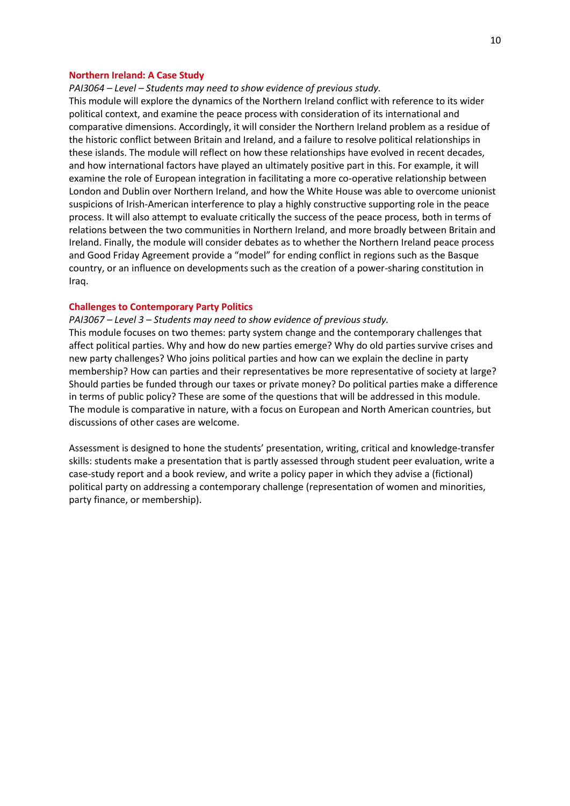# **Northern Ireland: A Case Study**

*PAI3064 – Level – Students may need to show evidence of previous study.*

This module will explore the dynamics of the Northern Ireland conflict with reference to its wider political context, and examine the peace process with consideration of its international and comparative dimensions. Accordingly, it will consider the Northern Ireland problem as a residue of the historic conflict between Britain and Ireland, and a failure to resolve political relationships in these islands. The module will reflect on how these relationships have evolved in recent decades, and how international factors have played an ultimately positive part in this. For example, it will examine the role of European integration in facilitating a more co-operative relationship between London and Dublin over Northern Ireland, and how the White House was able to overcome unionist suspicions of Irish-American interference to play a highly constructive supporting role in the peace process. It will also attempt to evaluate critically the success of the peace process, both in terms of relations between the two communities in Northern Ireland, and more broadly between Britain and Ireland. Finally, the module will consider debates as to whether the Northern Ireland peace process and Good Friday Agreement provide a "model" for ending conflict in regions such as the Basque country, or an influence on developments such as the creation of a power-sharing constitution in Iraq.

#### **Challenges to Contemporary Party Politics**

*PAI3067 – Level 3 – Students may need to show evidence of previous study.*

This module focuses on two themes: party system change and the contemporary challenges that affect political parties. Why and how do new parties emerge? Why do old parties survive crises and new party challenges? Who joins political parties and how can we explain the decline in party membership? How can parties and their representatives be more representative of society at large? Should parties be funded through our taxes or private money? Do political parties make a difference in terms of public policy? These are some of the questions that will be addressed in this module. The module is comparative in nature, with a focus on European and North American countries, but discussions of other cases are welcome.

Assessment is designed to hone the students' presentation, writing, critical and knowledge-transfer skills: students make a presentation that is partly assessed through student peer evaluation, write a case-study report and a book review, and write a policy paper in which they advise a (fictional) political party on addressing a contemporary challenge (representation of women and minorities, party finance, or membership).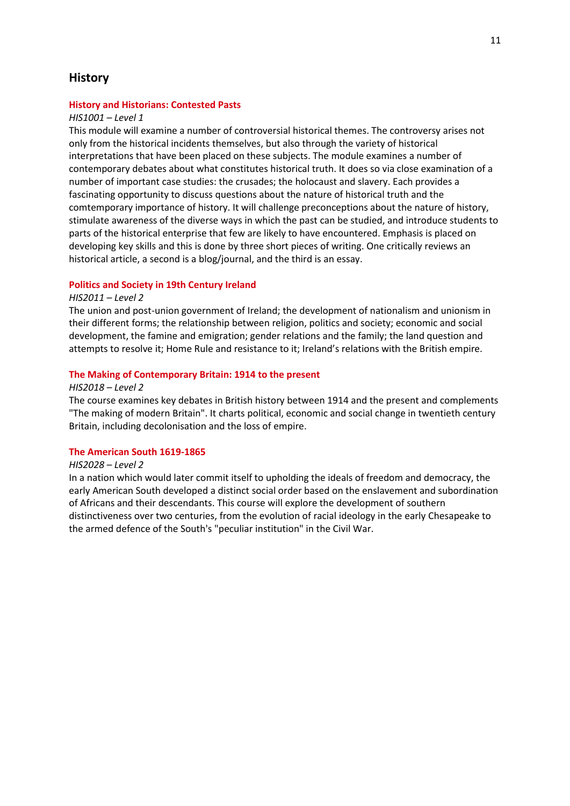# **History**

# **History and Historians: Contested Pasts**

## *HIS1001 – Level 1*

This module will examine a number of controversial historical themes. The controversy arises not only from the historical incidents themselves, but also through the variety of historical interpretations that have been placed on these subjects. The module examines a number of contemporary debates about what constitutes historical truth. It does so via close examination of a number of important case studies: the crusades; the holocaust and slavery. Each provides a fascinating opportunity to discuss questions about the nature of historical truth and the comtemporary importance of history. It will challenge preconceptions about the nature of history, stimulate awareness of the diverse ways in which the past can be studied, and introduce students to parts of the historical enterprise that few are likely to have encountered. Emphasis is placed on developing key skills and this is done by three short pieces of writing. One critically reviews an historical article, a second is a blog/journal, and the third is an essay.

# **Politics and Society in 19th Century Ireland**

# *HIS2011 – Level 2*

The union and post-union government of Ireland; the development of nationalism and unionism in their different forms; the relationship between religion, politics and society; economic and social development, the famine and emigration; gender relations and the family; the land question and attempts to resolve it; Home Rule and resistance to it; Ireland's relations with the British empire.

#### **The Making of Contemporary Britain: 1914 to the present**

#### *HIS2018 – Level 2*

The course examines key debates in British history between 1914 and the present and complements "The making of modern Britain". It charts political, economic and social change in twentieth century Britain, including decolonisation and the loss of empire.

# **The American South 1619-1865**

# *HIS2028 – Level 2*

In a nation which would later commit itself to upholding the ideals of freedom and democracy, the early American South developed a distinct social order based on the enslavement and subordination of Africans and their descendants. This course will explore the development of southern distinctiveness over two centuries, from the evolution of racial ideology in the early Chesapeake to the armed defence of the South's "peculiar institution" in the Civil War.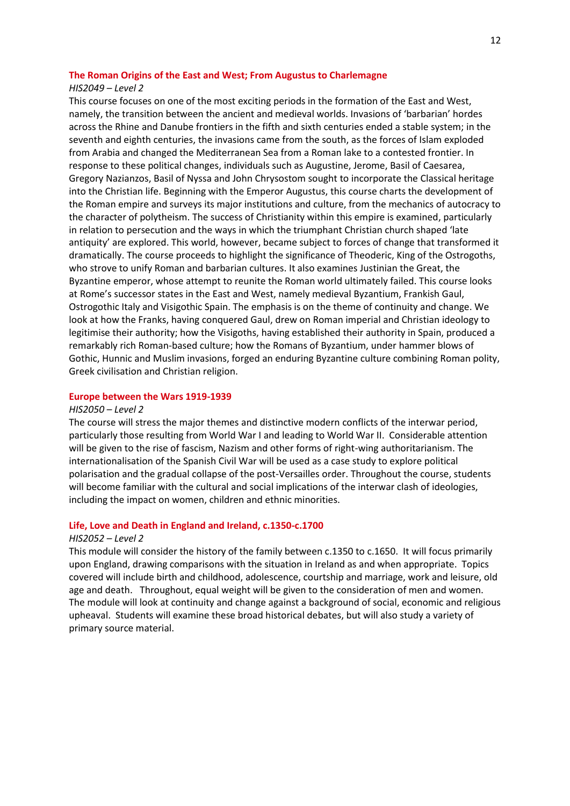#### **The Roman Origins of the East and West; From Augustus to Charlemagne**

## *HIS2049 – Level 2*

This course focuses on one of the most exciting periods in the formation of the East and West, namely, the transition between the ancient and medieval worlds. Invasions of 'barbarian' hordes across the Rhine and Danube frontiers in the fifth and sixth centuries ended a stable system; in the seventh and eighth centuries, the invasions came from the south, as the forces of Islam exploded from Arabia and changed the Mediterranean Sea from a Roman lake to a contested frontier. In response to these political changes, individuals such as Augustine, Jerome, Basil of Caesarea, Gregory Nazianzos, Basil of Nyssa and John Chrysostom sought to incorporate the Classical heritage into the Christian life. Beginning with the Emperor Augustus, this course charts the development of the Roman empire and surveys its major institutions and culture, from the mechanics of autocracy to the character of polytheism. The success of Christianity within this empire is examined, particularly in relation to persecution and the ways in which the triumphant Christian church shaped 'late antiquity' are explored. This world, however, became subject to forces of change that transformed it dramatically. The course proceeds to highlight the significance of Theoderic, King of the Ostrogoths, who strove to unify Roman and barbarian cultures. It also examines Justinian the Great, the Byzantine emperor, whose attempt to reunite the Roman world ultimately failed. This course looks at Rome's successor states in the East and West, namely medieval Byzantium, Frankish Gaul, Ostrogothic Italy and Visigothic Spain. The emphasis is on the theme of continuity and change. We look at how the Franks, having conquered Gaul, drew on Roman imperial and Christian ideology to legitimise their authority; how the Visigoths, having established their authority in Spain, produced a remarkably rich Roman-based culture; how the Romans of Byzantium, under hammer blows of Gothic, Hunnic and Muslim invasions, forged an enduring Byzantine culture combining Roman polity, Greek civilisation and Christian religion.

#### **Europe between the Wars 1919-1939**

## *HIS2050 – Level 2*

The course will stress the major themes and distinctive modern conflicts of the interwar period, particularly those resulting from World War I and leading to World War II. Considerable attention will be given to the rise of fascism, Nazism and other forms of right-wing authoritarianism. The internationalisation of the Spanish Civil War will be used as a case study to explore political polarisation and the gradual collapse of the post-Versailles order. Throughout the course, students will become familiar with the cultural and social implications of the interwar clash of ideologies, including the impact on women, children and ethnic minorities.

#### **Life, Love and Death in England and Ireland, c.1350-c.1700**

# *HIS2052 – Level 2*

This module will consider the history of the family between c.1350 to c.1650. It will focus primarily upon England, drawing comparisons with the situation in Ireland as and when appropriate. Topics covered will include birth and childhood, adolescence, courtship and marriage, work and leisure, old age and death. Throughout, equal weight will be given to the consideration of men and women. The module will look at continuity and change against a background of social, economic and religious upheaval. Students will examine these broad historical debates, but will also study a variety of primary source material.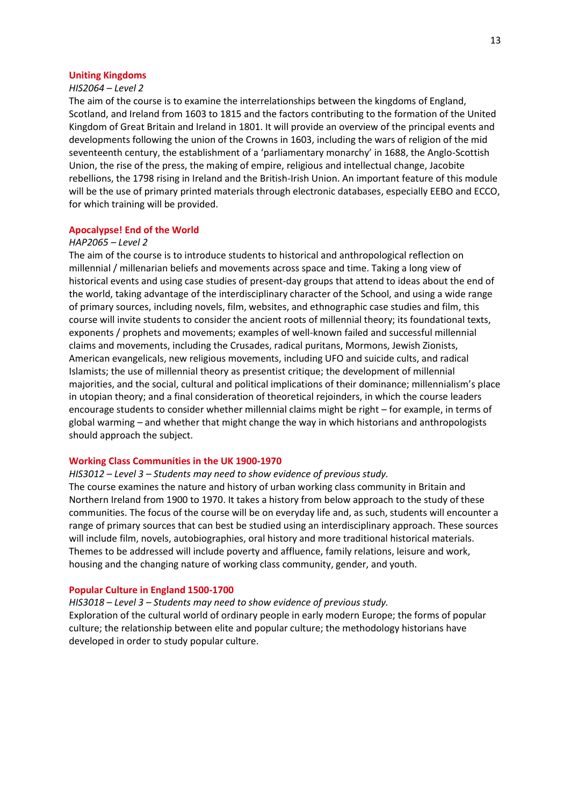#### **Uniting Kingdoms**

### *HIS2064 – Level 2*

The aim of the course is to examine the interrelationships between the kingdoms of England, Scotland, and Ireland from 1603 to 1815 and the factors contributing to the formation of the United Kingdom of Great Britain and Ireland in 1801. It will provide an overview of the principal events and developments following the union of the Crowns in 1603, including the wars of religion of the mid seventeenth century, the establishment of a 'parliamentary monarchy' in 1688, the Anglo-Scottish Union, the rise of the press, the making of empire, religious and intellectual change, Jacobite rebellions, the 1798 rising in Ireland and the British-Irish Union. An important feature of this module will be the use of primary printed materials through electronic databases, especially EEBO and ECCO, for which training will be provided.

#### **Apocalypse! End of the World**

## *HAP2065 – Level 2*

The aim of the course is to introduce students to historical and anthropological reflection on millennial / millenarian beliefs and movements across space and time. Taking a long view of historical events and using case studies of present-day groups that attend to ideas about the end of the world, taking advantage of the interdisciplinary character of the School, and using a wide range of primary sources, including novels, film, websites, and ethnographic case studies and film, this course will invite students to consider the ancient roots of millennial theory; its foundational texts, exponents / prophets and movements; examples of well-known failed and successful millennial claims and movements, including the Crusades, radical puritans, Mormons, Jewish Zionists, American evangelicals, new religious movements, including UFO and suicide cults, and radical Islamists; the use of millennial theory as presentist critique; the development of millennial majorities, and the social, cultural and political implications of their dominance; millennialism's place in utopian theory; and a final consideration of theoretical rejoinders, in which the course leaders encourage students to consider whether millennial claims might be right – for example, in terms of global warming – and whether that might change the way in which historians and anthropologists should approach the subject.

#### **Working Class Communities in the UK 1900-1970**

#### *HIS3012 – Level 3 – Students may need to show evidence of previous study.*

The course examines the nature and history of urban working class community in Britain and Northern Ireland from 1900 to 1970. It takes a history from below approach to the study of these communities. The focus of the course will be on everyday life and, as such, students will encounter a range of primary sources that can best be studied using an interdisciplinary approach. These sources will include film, novels, autobiographies, oral history and more traditional historical materials. Themes to be addressed will include poverty and affluence, family relations, leisure and work, housing and the changing nature of working class community, gender, and youth.

# **Popular Culture in England 1500-1700**

*HIS3018 – Level 3 – Students may need to show evidence of previous study.* Exploration of the cultural world of ordinary people in early modern Europe; the forms of popular culture; the relationship between elite and popular culture; the methodology historians have developed in order to study popular culture.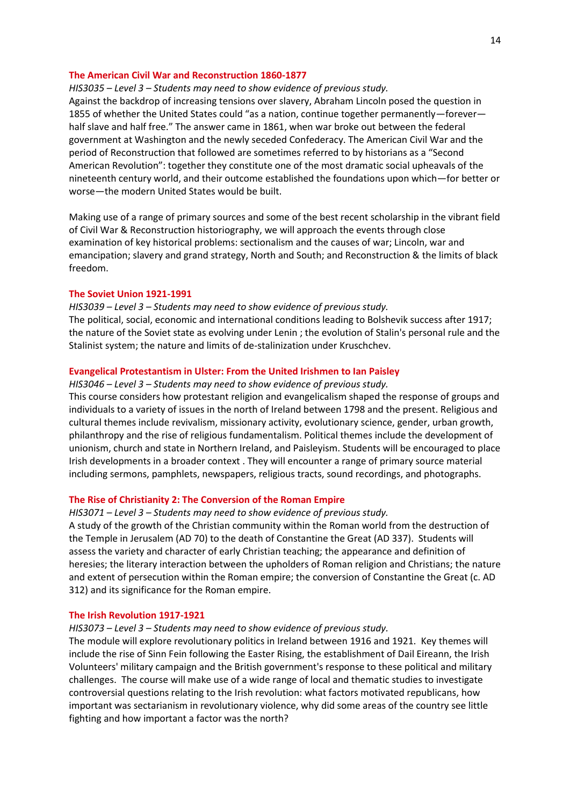# **The American Civil War and Reconstruction 1860-1877**

## *HIS3035 – Level 3 – Students may need to show evidence of previous study.*

Against the backdrop of increasing tensions over slavery, Abraham Lincoln posed the question in 1855 of whether the United States could "as a nation, continue together permanently—forever half slave and half free." The answer came in 1861, when war broke out between the federal government at Washington and the newly seceded Confederacy. The American Civil War and the period of Reconstruction that followed are sometimes referred to by historians as a "Second American Revolution": together they constitute one of the most dramatic social upheavals of the nineteenth century world, and their outcome established the foundations upon which—for better or worse—the modern United States would be built.

Making use of a range of primary sources and some of the best recent scholarship in the vibrant field of Civil War & Reconstruction historiography, we will approach the events through close examination of key historical problems: sectionalism and the causes of war; Lincoln, war and emancipation; slavery and grand strategy, North and South; and Reconstruction & the limits of black freedom.

## **The Soviet Union 1921-1991**

*HIS3039 – Level 3 – Students may need to show evidence of previous study.* The political, social, economic and international conditions leading to Bolshevik success after 1917; the nature of the Soviet state as evolving under Lenin ; the evolution of Stalin's personal rule and the Stalinist system; the nature and limits of de-stalinization under Kruschchev.

# **Evangelical Protestantism in Ulster: From the United Irishmen to Ian Paisley**

*HIS3046 – Level 3 – Students may need to show evidence of previous study.* This course considers how protestant religion and evangelicalism shaped the response of groups and individuals to a variety of issues in the north of Ireland between 1798 and the present. Religious and cultural themes include revivalism, missionary activity, evolutionary science, gender, urban growth, philanthropy and the rise of religious fundamentalism. Political themes include the development of unionism, church and state in Northern Ireland, and Paisleyism. Students will be encouraged to place Irish developments in a broader context . They will encounter a range of primary source material including sermons, pamphlets, newspapers, religious tracts, sound recordings, and photographs.

# **The Rise of Christianity 2: The Conversion of the Roman Empire**

#### *HIS3071 – Level 3 – Students may need to show evidence of previous study.*

A study of the growth of the Christian community within the Roman world from the destruction of the Temple in Jerusalem (AD 70) to the death of Constantine the Great (AD 337). Students will assess the variety and character of early Christian teaching; the appearance and definition of heresies; the literary interaction between the upholders of Roman religion and Christians; the nature and extent of persecution within the Roman empire; the conversion of Constantine the Great (c. AD 312) and its significance for the Roman empire.

## **The Irish Revolution 1917-1921**

#### *HIS3073 – Level 3 – Students may need to show evidence of previous study.*

The module will explore revolutionary politics in Ireland between 1916 and 1921. Key themes will include the rise of Sinn Fein following the Easter Rising, the establishment of Dail Eireann, the Irish Volunteers' military campaign and the British government's response to these political and military challenges. The course will make use of a wide range of local and thematic studies to investigate controversial questions relating to the Irish revolution: what factors motivated republicans, how important was sectarianism in revolutionary violence, why did some areas of the country see little fighting and how important a factor was the north?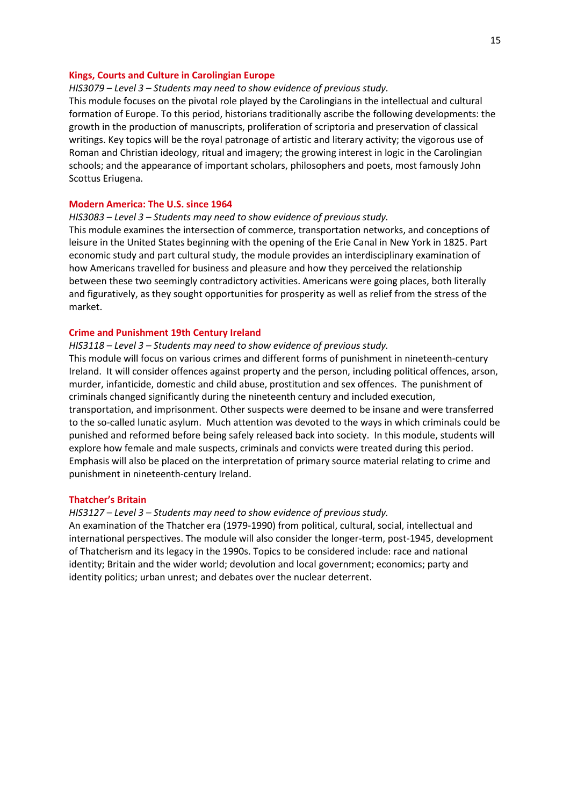#### **Kings, Courts and Culture in Carolingian Europe**

## *HIS3079 – Level 3 – Students may need to show evidence of previous study.*

This module focuses on the pivotal role played by the Carolingians in the intellectual and cultural formation of Europe. To this period, historians traditionally ascribe the following developments: the growth in the production of manuscripts, proliferation of scriptoria and preservation of classical writings. Key topics will be the royal patronage of artistic and literary activity; the vigorous use of Roman and Christian ideology, ritual and imagery; the growing interest in logic in the Carolingian schools; and the appearance of important scholars, philosophers and poets, most famously John Scottus Eriugena.

## **Modern America: The U.S. since 1964**

*HIS3083 – Level 3 – Students may need to show evidence of previous study.*

This module examines the intersection of commerce, transportation networks, and conceptions of leisure in the United States beginning with the opening of the Erie Canal in New York in 1825. Part economic study and part cultural study, the module provides an interdisciplinary examination of how Americans travelled for business and pleasure and how they perceived the relationship between these two seemingly contradictory activities. Americans were going places, both literally and figuratively, as they sought opportunities for prosperity as well as relief from the stress of the market.

#### **Crime and Punishment 19th Century Ireland**

#### *HIS3118 – Level 3 – Students may need to show evidence of previous study.*

This module will focus on various crimes and different forms of punishment in nineteenth-century Ireland. It will consider offences against property and the person, including political offences, arson, murder, infanticide, domestic and child abuse, prostitution and sex offences. The punishment of criminals changed significantly during the nineteenth century and included execution, transportation, and imprisonment. Other suspects were deemed to be insane and were transferred to the so-called lunatic asylum. Much attention was devoted to the ways in which criminals could be punished and reformed before being safely released back into society. In this module, students will explore how female and male suspects, criminals and convicts were treated during this period. Emphasis will also be placed on the interpretation of primary source material relating to crime and punishment in nineteenth-century Ireland.

## **Thatcher's Britain**

#### *HIS3127 – Level 3 – Students may need to show evidence of previous study.*

An examination of the Thatcher era (1979-1990) from political, cultural, social, intellectual and international perspectives. The module will also consider the longer-term, post-1945, development of Thatcherism and its legacy in the 1990s. Topics to be considered include: race and national identity; Britain and the wider world; devolution and local government; economics; party and identity politics; urban unrest; and debates over the nuclear deterrent.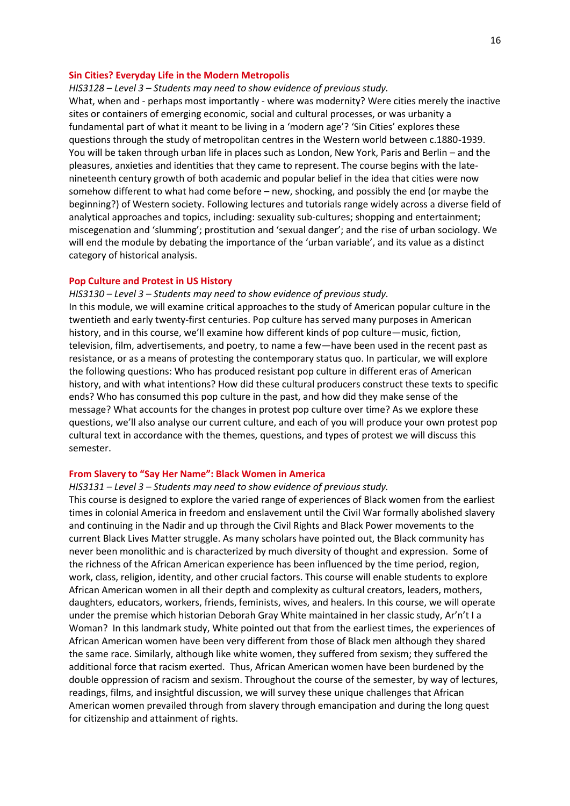## **Sin Cities? Everyday Life in the Modern Metropolis**

#### *HIS3128 – Level 3 – Students may need to show evidence of previous study.*

What, when and - perhaps most importantly - where was modernity? Were cities merely the inactive sites or containers of emerging economic, social and cultural processes, or was urbanity a fundamental part of what it meant to be living in a 'modern age'? 'Sin Cities' explores these questions through the study of metropolitan centres in the Western world between c.1880-1939. You will be taken through urban life in places such as London, New York, Paris and Berlin – and the pleasures, anxieties and identities that they came to represent. The course begins with the latenineteenth century growth of both academic and popular belief in the idea that cities were now somehow different to what had come before – new, shocking, and possibly the end (or maybe the beginning?) of Western society. Following lectures and tutorials range widely across a diverse field of analytical approaches and topics, including: sexuality sub-cultures; shopping and entertainment; miscegenation and 'slumming'; prostitution and 'sexual danger'; and the rise of urban sociology. We will end the module by debating the importance of the 'urban variable', and its value as a distinct category of historical analysis.

## **Pop Culture and Protest in US History**

*HIS3130 – Level 3 – Students may need to show evidence of previous study.* In this module, we will examine critical approaches to the study of American popular culture in the twentieth and early twenty-first centuries. Pop culture has served many purposes in American history, and in this course, we'll examine how different kinds of pop culture—music, fiction, television, film, advertisements, and poetry, to name a few—have been used in the recent past as resistance, or as a means of protesting the contemporary status quo. In particular, we will explore the following questions: Who has produced resistant pop culture in different eras of American history, and with what intentions? How did these cultural producers construct these texts to specific ends? Who has consumed this pop culture in the past, and how did they make sense of the message? What accounts for the changes in protest pop culture over time? As we explore these

questions, we'll also analyse our current culture, and each of you will produce your own protest pop cultural text in accordance with the themes, questions, and types of protest we will discuss this semester.

## **From Slavery to "Say Her Name": Black Women in America**

*HIS3131 – Level 3 – Students may need to show evidence of previous study.*

This course is designed to explore the varied range of experiences of Black women from the earliest times in colonial America in freedom and enslavement until the Civil War formally abolished slavery and continuing in the Nadir and up through the Civil Rights and Black Power movements to the current Black Lives Matter struggle. As many scholars have pointed out, the Black community has never been monolithic and is characterized by much diversity of thought and expression. Some of the richness of the African American experience has been influenced by the time period, region, work, class, religion, identity, and other crucial factors. This course will enable students to explore African American women in all their depth and complexity as cultural creators, leaders, mothers, daughters, educators, workers, friends, feminists, wives, and healers. In this course, we will operate under the premise which historian Deborah Gray White maintained in her classic study, Ar'n't I a Woman? In this landmark study, White pointed out that from the earliest times, the experiences of African American women have been very different from those of Black men although they shared the same race. Similarly, although like white women, they suffered from sexism; they suffered the additional force that racism exerted. Thus, African American women have been burdened by the double oppression of racism and sexism. Throughout the course of the semester, by way of lectures, readings, films, and insightful discussion, we will survey these unique challenges that African American women prevailed through from slavery through emancipation and during the long quest for citizenship and attainment of rights.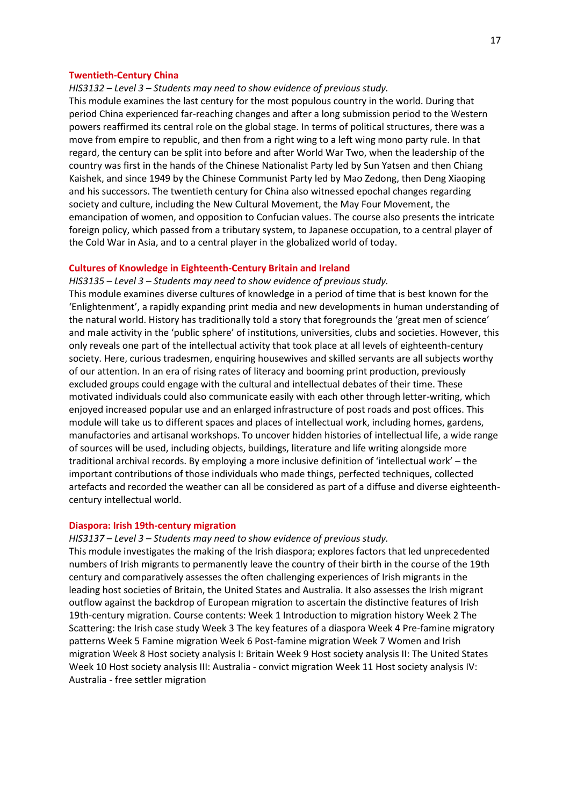#### **Twentieth-Century China**

## *HIS3132 – Level 3 – Students may need to show evidence of previous study.*

This module examines the last century for the most populous country in the world. During that period China experienced far-reaching changes and after a long submission period to the Western powers reaffirmed its central role on the global stage. In terms of political structures, there was a move from empire to republic, and then from a right wing to a left wing mono party rule. In that regard, the century can be split into before and after World War Two, when the leadership of the country was first in the hands of the Chinese Nationalist Party led by Sun Yatsen and then Chiang Kaishek, and since 1949 by the Chinese Communist Party led by Mao Zedong, then Deng Xiaoping and his successors. The twentieth century for China also witnessed epochal changes regarding society and culture, including the New Cultural Movement, the May Four Movement, the emancipation of women, and opposition to Confucian values. The course also presents the intricate foreign policy, which passed from a tributary system, to Japanese occupation, to a central player of the Cold War in Asia, and to a central player in the globalized world of today.

### **Cultures of Knowledge in Eighteenth-Century Britain and Ireland**

*HIS3135 – Level 3 – Students may need to show evidence of previous study.* This module examines diverse cultures of knowledge in a period of time that is best known for the 'Enlightenment', a rapidly expanding print media and new developments in human understanding of the natural world. History has traditionally told a story that foregrounds the 'great men of science' and male activity in the 'public sphere' of institutions, universities, clubs and societies. However, this only reveals one part of the intellectual activity that took place at all levels of eighteenth-century society. Here, curious tradesmen, enquiring housewives and skilled servants are all subjects worthy of our attention. In an era of rising rates of literacy and booming print production, previously excluded groups could engage with the cultural and intellectual debates of their time. These motivated individuals could also communicate easily with each other through letter-writing, which enjoyed increased popular use and an enlarged infrastructure of post roads and post offices. This module will take us to different spaces and places of intellectual work, including homes, gardens, manufactories and artisanal workshops. To uncover hidden histories of intellectual life, a wide range of sources will be used, including objects, buildings, literature and life writing alongside more traditional archival records. By employing a more inclusive definition of 'intellectual work' – the important contributions of those individuals who made things, perfected techniques, collected artefacts and recorded the weather can all be considered as part of a diffuse and diverse eighteenthcentury intellectual world.

#### **Diaspora: Irish 19th-century migration**

## *HIS3137 – Level 3 – Students may need to show evidence of previous study.*

This module investigates the making of the Irish diaspora; explores factors that led unprecedented numbers of Irish migrants to permanently leave the country of their birth in the course of the 19th century and comparatively assesses the often challenging experiences of Irish migrants in the leading host societies of Britain, the United States and Australia. It also assesses the Irish migrant outflow against the backdrop of European migration to ascertain the distinctive features of Irish 19th-century migration. Course contents: Week 1 Introduction to migration history Week 2 The Scattering: the Irish case study Week 3 The key features of a diaspora Week 4 Pre-famine migratory patterns Week 5 Famine migration Week 6 Post-famine migration Week 7 Women and Irish migration Week 8 Host society analysis I: Britain Week 9 Host society analysis II: The United States Week 10 Host society analysis III: Australia - convict migration Week 11 Host society analysis IV: Australia - free settler migration